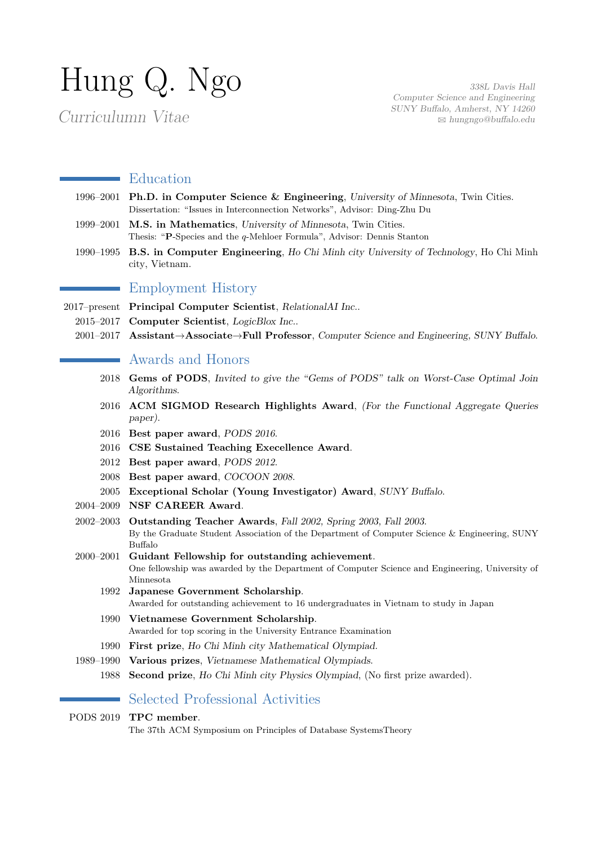# Hung Q. Ngo

Curriculumn Vitae

338L Davis Hall Computer Science and Engineering SUNY Buffalo, Amherst, NY 14260 B [hungngo@buffalo.edu](mailto:hungngo@buffalo.edu)

#### **Education**

- 1996–2001 **Ph.D. in Computer Science & Engineering**, University of Minnesota, Twin Cities. Dissertation: "Issues in Interconnection Networks", Advisor: Ding-Zhu Du
- 1999–2001 **M.S. in Mathematics**, University of Minnesota, Twin Cities. Thesis: "**P**-Species and the *q*-Mehloer Formula", Advisor: Dennis Stanton
- 1990–1995 **B.S. in Computer Engineering**, Ho Chi Minh city University of Technology, Ho Chi Minh city, Vietnam.

## Employment History

- 2017–present **Principal Computer Scientist**, RelationalAI Inc..
	- 2015–2017 **Computer Scientist**, LogicBlox Inc..
	- 2001–2017 **Assistant**→**Associate**→**Full Professor**, Computer Science and Engineering, SUNY Buffalo.

## Awards and Honors

- 2018 **Gems of PODS**, Invited to give the "Gems of PODS" talk on Worst-Case Optimal Join Algorithms.
- 2016 **ACM SIGMOD Research Highlights Award**, (For the Functional Aggregate Queries paper).
- 2016 **Best paper award**, PODS 2016.
- 2016 **CSE Sustained Teaching Execellence Award**.
- 2012 **Best paper award**, PODS 2012.
- 2008 **Best paper award**, COCOON 2008.
- 2005 **Exceptional Scholar (Young Investigator) Award**, SUNY Buffalo.
- 2004–2009 **NSF CAREER Award**.
- 2002–2003 **Outstanding Teacher Awards**, Fall 2002, Spring 2003, Fall 2003. By the Graduate Student Association of the Department of Computer Science & Engineering, SUNY Buffalo
- 2000–2001 **Guidant Fellowship for outstanding achievement**. One fellowship was awarded by the Department of Computer Science and Engineering, University of Minnesota
	- 1992 **Japanese Government Scholarship**. Awarded for outstanding achievement to 16 undergraduates in Vietnam to study in Japan
	- 1990 **Vietnamese Government Scholarship**. Awarded for top scoring in the University Entrance Examination
	- 1990 **First prize**, Ho Chi Minh city Mathematical Olympiad.
- 1989–1990 **Various prizes**, Vietnamese Mathematical Olympiads.
	- 1988 **Second prize**, Ho Chi Minh city Physics Olympiad, (No first prize awarded).

# Selected Professional Activities

#### PODS 2019 **TPC member**.

The 37th ACM Symposium on Principles of Database SystemsTheory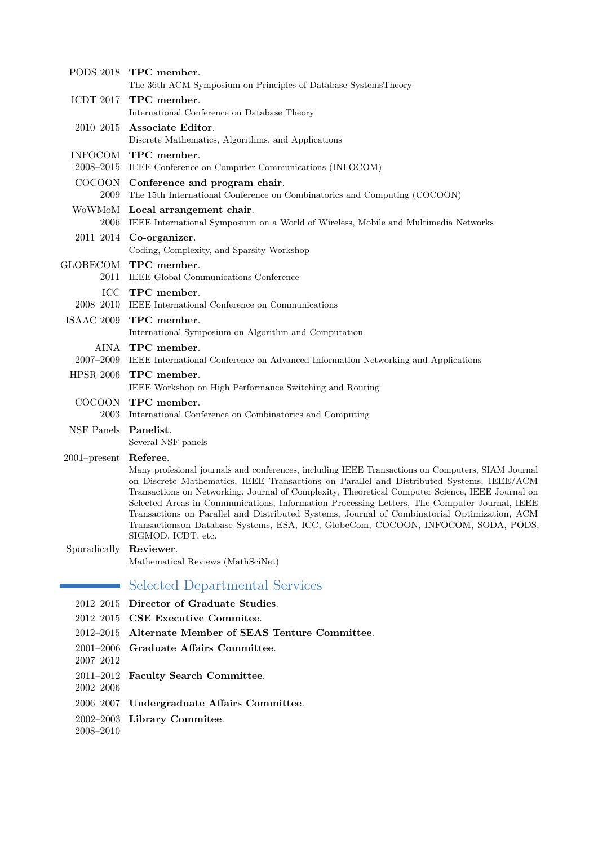|                                | PODS 2018 TPC member.<br>The 36th ACM Symposium on Principles of Database SystemsTheory                                                                                                                                                                                                                                                                                                                                                                                                                                                                                                |
|--------------------------------|----------------------------------------------------------------------------------------------------------------------------------------------------------------------------------------------------------------------------------------------------------------------------------------------------------------------------------------------------------------------------------------------------------------------------------------------------------------------------------------------------------------------------------------------------------------------------------------|
|                                | ICDT 2017 TPC member.<br>International Conference on Database Theory                                                                                                                                                                                                                                                                                                                                                                                                                                                                                                                   |
| $2010 - 2015$                  | Associate Editor.<br>Discrete Mathematics, Algorithms, and Applications                                                                                                                                                                                                                                                                                                                                                                                                                                                                                                                |
|                                | INFOCOM TPC member.<br>2008–2015 IEEE Conference on Computer Communications (INFOCOM)                                                                                                                                                                                                                                                                                                                                                                                                                                                                                                  |
|                                | COCOON Conference and program chair.<br>2009 The 15th International Conference on Combinatorics and Computing (COCOON)                                                                                                                                                                                                                                                                                                                                                                                                                                                                 |
|                                | WoWMoM Local arrangement chair.<br>2006 IEEE International Symposium on a World of Wireless, Mobile and Multimedia Networks                                                                                                                                                                                                                                                                                                                                                                                                                                                            |
|                                | $2011-2014$ Co-organizer.<br>Coding, Complexity, and Sparsity Workshop                                                                                                                                                                                                                                                                                                                                                                                                                                                                                                                 |
|                                | GLOBECOM TPC member.<br>2011 IEEE Global Communications Conference                                                                                                                                                                                                                                                                                                                                                                                                                                                                                                                     |
|                                | ICC TPC member.<br>2008-2010 IEEE International Conference on Communications                                                                                                                                                                                                                                                                                                                                                                                                                                                                                                           |
|                                | ISAAC 2009 TPC member.<br>International Symposium on Algorithm and Computation                                                                                                                                                                                                                                                                                                                                                                                                                                                                                                         |
|                                | AINA TPC member.<br>2007-2009 IEEE International Conference on Advanced Information Networking and Applications                                                                                                                                                                                                                                                                                                                                                                                                                                                                        |
|                                | HPSR 2006 TPC member.<br>IEEE Workshop on High Performance Switching and Routing                                                                                                                                                                                                                                                                                                                                                                                                                                                                                                       |
| 2003                           | COCOON TPC member.<br>International Conference on Combinatorics and Computing                                                                                                                                                                                                                                                                                                                                                                                                                                                                                                          |
| NSF Panels Panelist.           | Several NSF panels                                                                                                                                                                                                                                                                                                                                                                                                                                                                                                                                                                     |
| 2001-present Referee.          | Many profesional journals and conferences, including IEEE Transactions on Computers, SIAM Journal<br>on Discrete Mathematics, IEEE Transactions on Parallel and Distributed Systems, IEEE/ACM<br>Transactions on Networking, Journal of Complexity, Theoretical Computer Science, IEEE Journal on<br>Selected Areas in Communications, Information Processing Letters, The Computer Journal, IEEE<br>Transactions on Parallel and Distributed Systems, Journal of Combinatorial Optimization, ACM<br>Transactionson Database Systems, ESA, ICC, GlobeCom, COCOON, INFOCOM, SODA, PODS, |
| Sporadically                   | SIGMOD, ICDT, etc.<br>Reviewer.<br>Mathematical Reviews (MathSciNet)                                                                                                                                                                                                                                                                                                                                                                                                                                                                                                                   |
|                                | Selected Departmental Services                                                                                                                                                                                                                                                                                                                                                                                                                                                                                                                                                         |
| $2012 - 2015$                  | Director of Graduate Studies.                                                                                                                                                                                                                                                                                                                                                                                                                                                                                                                                                          |
|                                | 2012-2015 CSE Executive Commitee.                                                                                                                                                                                                                                                                                                                                                                                                                                                                                                                                                      |
| $2012 - 2015$                  | Alternate Member of SEAS Tenture Committee.                                                                                                                                                                                                                                                                                                                                                                                                                                                                                                                                            |
| $2001 - 2006$<br>$2007 - 2012$ | Graduate Affairs Committee.                                                                                                                                                                                                                                                                                                                                                                                                                                                                                                                                                            |
| $2011 - 2012$<br>$2002 - 2006$ | Faculty Search Committee.                                                                                                                                                                                                                                                                                                                                                                                                                                                                                                                                                              |
| 2006–2007                      | Undergraduate Affairs Committee.                                                                                                                                                                                                                                                                                                                                                                                                                                                                                                                                                       |
| $2002 - 2003$<br>$2008 - 2010$ | Library Commitee.                                                                                                                                                                                                                                                                                                                                                                                                                                                                                                                                                                      |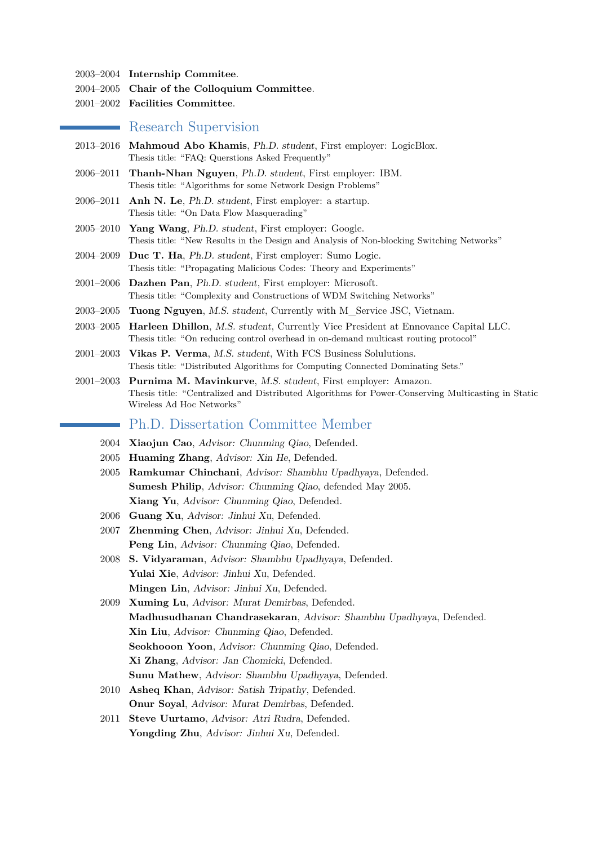- 2003–2004 **Internship Commitee**.
- 2004–2005 **Chair of the Colloquium Committee**.
- 2001–2002 **Facilities Committee**.

#### **Research Supervision**

- 2013–2016 **Mahmoud Abo Khamis**, Ph.D. student, First employer: LogicBlox. Thesis title: "FAQ: Querstions Asked Frequently"
- 2006–2011 **Thanh-Nhan Nguyen**, Ph.D. student, First employer: IBM. Thesis title: "Algorithms for some Network Design Problems"
- 2006–2011 **Anh N. Le**, Ph.D. student, First employer: a startup. Thesis title: "On Data Flow Masquerading"
- 2005–2010 **Yang Wang**, Ph.D. student, First employer: Google. Thesis title: "New Results in the Design and Analysis of Non-blocking Switching Networks"
- 2004–2009 **Duc T. Ha**, Ph.D. student, First employer: Sumo Logic. Thesis title: "Propagating Malicious Codes: Theory and Experiments"
- 2001–2006 **Dazhen Pan**, Ph.D. student, First employer: Microsoft. Thesis title: "Complexity and Constructions of WDM Switching Networks"
- 2003–2005 **Tuong Nguyen**, M.S. student, Currently with M\_Service JSC, Vietnam.
- 2003–2005 **Harleen Dhillon**, M.S. student, Currently Vice President at Ennovance Capital LLC. Thesis title: "On reducing control overhead in on-demand multicast routing protocol"
- 2001–2003 **Vikas P. Verma**, M.S. student, With FCS Business Solulutions. Thesis title: "Distributed Algorithms for Computing Connected Dominating Sets."
- 2001–2003 **Purnima M. Mavinkurve**, M.S. student, First employer: Amazon. Thesis title: "Centralized and Distributed Algorithms for Power-Conserving Multicasting in Static Wireless Ad Hoc Networks"

#### Ph.D. Dissertation Committee Member

- 2004 **Xiaojun Cao**, Advisor: Chunming Qiao, Defended.
- 2005 **Huaming Zhang**, Advisor: Xin He, Defended.
- 2005 **Ramkumar Chinchani**, Advisor: Shambhu Upadhyaya, Defended. **Sumesh Philip**, Advisor: Chunming Qiao, defended May 2005. **Xiang Yu**, Advisor: Chunming Qiao, Defended.
- 2006 **Guang Xu**, Advisor: Jinhui Xu, Defended.
- 2007 **Zhenming Chen**, Advisor: Jinhui Xu, Defended. Peng Lin, Advisor: Chunming Qiao, Defended.
- 2008 **S. Vidyaraman**, Advisor: Shambhu Upadhyaya, Defended. Yulai Xie, Advisor: Jinhui Xu, Defended. **Mingen Lin**, Advisor: Jinhui Xu, Defended.
- 2009 **Xuming Lu**, Advisor: Murat Demirbas, Defended. **Madhusudhanan Chandrasekaran**, Advisor: Shambhu Upadhyaya, Defended. **Xin Liu**, Advisor: Chunming Qiao, Defended. **Seokhooon Yoon**, Advisor: Chunming Qiao, Defended. **Xi Zhang**, Advisor: Jan Chomicki, Defended. **Sunu Mathew**, Advisor: Shambhu Upadhyaya, Defended.
- 2010 **Asheq Khan**, Advisor: Satish Tripathy, Defended. **Onur Soyal**, Advisor: Murat Demirbas, Defended.
- 2011 **Steve Uurtamo**, Advisor: Atri Rudra, Defended. Yongding Zhu, Advisor: Jinhui Xu, Defended.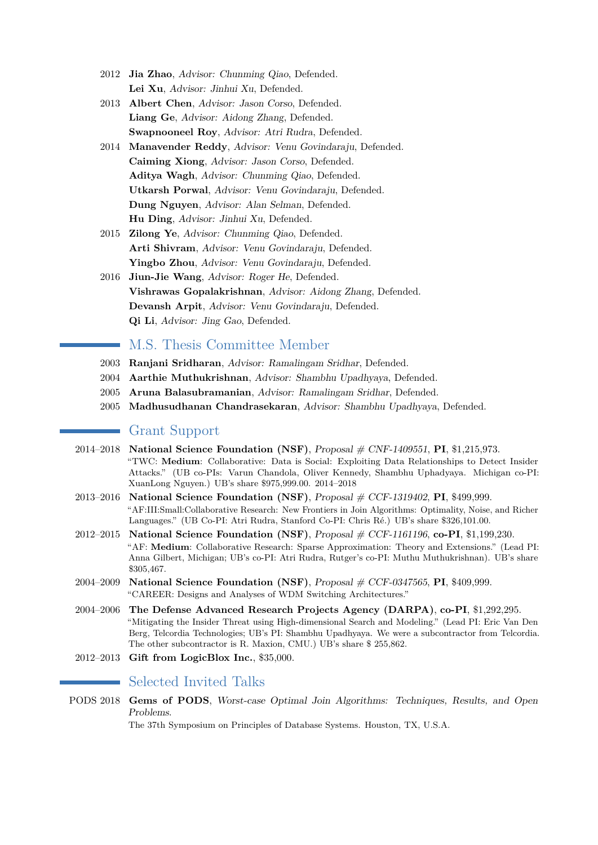- 2012 **Jia Zhao**, Advisor: Chunming Qiao, Defended. **Lei Xu**, Advisor: Jinhui Xu, Defended.
- 2013 **Albert Chen**, Advisor: Jason Corso, Defended. **Liang Ge**, Advisor: Aidong Zhang, Defended. **Swapnooneel Roy**, Advisor: Atri Rudra, Defended.
- 2014 **Manavender Reddy**, Advisor: Venu Govindaraju, Defended. **Caiming Xiong**, Advisor: Jason Corso, Defended. **Aditya Wagh**, Advisor: Chunming Qiao, Defended. **Utkarsh Porwal**, Advisor: Venu Govindaraju, Defended. **Dung Nguyen**, Advisor: Alan Selman, Defended. **Hu Ding**, Advisor: Jinhui Xu, Defended.
- 2015 **Zilong Ye**, Advisor: Chunming Qiao, Defended. **Arti Shivram**, Advisor: Venu Govindaraju, Defended. Yingbo Zhou, Advisor: Venu Govindaraju, Defended.
- 2016 **Jiun-Jie Wang**, Advisor: Roger He, Defended. **Vishrawas Gopalakrishnan**, Advisor: Aidong Zhang, Defended. **Devansh Arpit**, Advisor: Venu Govindaraju, Defended. **Qi Li**, Advisor: Jing Gao, Defended.

## M.S. Thesis Committee Member

- 2003 **Ranjani Sridharan**, Advisor: Ramalingam Sridhar, Defended.
- 2004 **Aarthie Muthukrishnan**, Advisor: Shambhu Upadhyaya, Defended.
- 2005 **Aruna Balasubramanian**, Advisor: Ramalingam Sridhar, Defended.
- 2005 **Madhusudhanan Chandrasekaran**, Advisor: Shambhu Upadhyaya, Defended.

# Grant Support

- 2014–2018 **National Science Foundation (NSF)**, Proposal # CNF-1409551, **PI**, \$1,215,973. "TWC: **Medium**: Collaborative: Data is Social: Exploiting Data Relationships to Detect Insider Attacks." (UB co-PIs: Varun Chandola, Oliver Kennedy, Shambhu Uphadyaya. Michigan co-PI: XuanLong Nguyen.) UB's share \$975,999.00. 2014–2018
- 2013–2016 **National Science Foundation (NSF)**, Proposal # CCF-1319402, **PI**, \$499,999. "AF:III:Small:Collaborative Research: New Frontiers in Join Algorithms: Optimality, Noise, and Richer Languages." (UB Co-PI: Atri Rudra, Stanford Co-PI: Chris Ré.) UB's share \$326,101.00.
- 2012–2015 **National Science Foundation (NSF)**, Proposal # CCF-1161196, **co-PI**, \$1,199,230. "AF: **Medium**: Collaborative Research: Sparse Approximation: Theory and Extensions." (Lead PI: Anna Gilbert, Michigan; UB's co-PI: Atri Rudra, Rutger's co-PI: Muthu Muthukrishnan). UB's share \$305,467.
- 2004–2009 **National Science Foundation (NSF)**, Proposal # CCF-0347565, **PI**, \$409,999. "CAREER: Designs and Analyses of WDM Switching Architectures."
- 2004–2006 **The Defense Advanced Research Projects Agency (DARPA)**, **co-PI**, \$1,292,295. "Mitigating the Insider Threat using High-dimensional Search and Modeling." (Lead PI: Eric Van Den Berg, Telcordia Technologies; UB's PI: Shambhu Upadhyaya. We were a subcontractor from Telcordia. The other subcontractor is R. Maxion, CMU.) UB's share \$ 255,862.
- 2012–2013 **Gift from LogicBlox Inc.**, \$35,000.

## Selected Invited Talks

PODS 2018 **Gems of PODS**, Worst-case Optimal Join Algorithms: Techniques, Results, and Open Problems.

The 37th Symposium on Principles of Database Systems. Houston, TX, U.S.A.